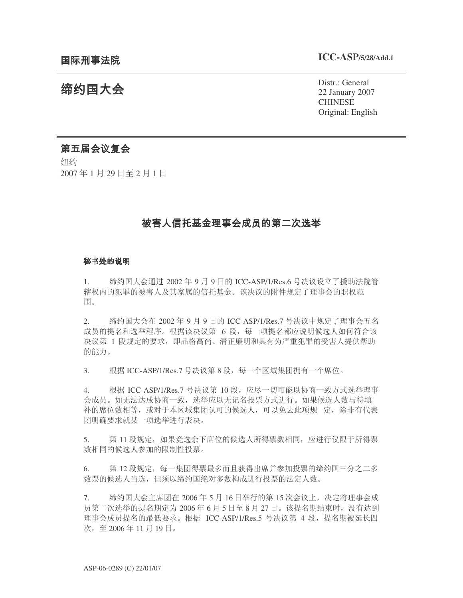# 缔约国大会

Distr.: General 22 January 2007 **CHINESE** Original: English

## 第五届会议复会

纽约 2007年1月29日至2月1日

# 被害人信托基金理事会成员的第二次选举

#### -

1. 缔约国大会通过 2002 年 9 月 9 日的 ICC-ASP/1/Res.6 号决议设立了援助法院管 辖权内的犯罪的被害人及其家属的信托基金。该决议的附件规定了理事会的职权范 围。

2. 㓨㑺Ӯ 2002 ᑈ 9 ᳜ 9 ᮹ⱘ ICC-ASP/1/Res.7 োއ䆂Ё㾘ᅮњ⧚џӮѨৡ 成员的提名和选举程序。根据该决议第 6 段,每一项提名都应说明候选人如何符合该 决议第 1 段规定的要求,即品格高尚、清正廉明和具有为严重犯罪的受害人提供帮助 的能力。

3. 根据 ICC-ASP/1/Res.7 号决议第 8 段, 每一个区域集团拥有一个席位。

4. 根据 ICC-ASP/1/Res.7 号决议第 10 段, 应尽一切可能以协商一致方式选举理事 会成员。如无法达成协商一致, 选举应以无记名投票方式进行。如果候选人数与待填 补的席位数相等, 或对于本区域集团认可的候选人, 可以免去此项规 定, 除非有代表 团明确要求就某一项选举进行表决。

5. 第11 段规定,如果竞选余下席位的候选人所得票数相同,应进行仅限于所得票 数相同的候选人参加的限制性投票。

6. 第12 段规定, 每一集团得票最多而且获得出席并参加投票的缔约国三分之二多 数票的候选人当选, 但须以缔约国绝对多数构成进行投票的法定人数。

7. 缩约国大会主席团在 2006年5月16日举行的第15次会议上,决定将理事会成 员第二次选举的提名期定为 2006 年 6 月 5 日至 8 月 27 日。该提名期结束时,没有达到 理事会成员提名的最低要求。根据 ICC-ASP/1/Res.5 号决议第 4 段, 提名期被延长四 次, 至 2006年11月19日。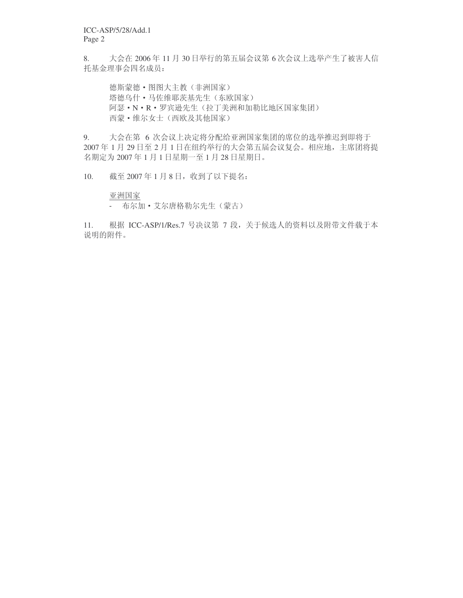ICC-ASP/5/28/Add.1 Page 2

8. 大会在 2006年 11 月 30 日举行的第五届会议第 6 次会议上选举产生了被害人信 托基金理事会四名成员:

德斯蒙德 · 图图大主教(非洲国家) 塔德乌什 • 马佐维耶茨基先生(东欧国家) 阿瑟·N·R·罗宾逊先生(拉丁美洲和加勒比地区国家集团) 西蒙·维尔女士(西欧及其他国家)

9. 大会在第 6 次会议上决定将分配给亚洲国家集团的席位的选举推迟到即将于 2007年1月29日至2月1日在纽约举行的大会第五届会议复会。相应地,主席团将提 名期定为 2007年1月1日星期一至1月28日星期日。

10. 截至 2007年1月8日, 收到了以下提名:

亚洲国家

- 布尔加·艾尔唐格勒尔先生(蒙古)

11. 根据 ICC-ASP/1/Res.7 号决议第 7 段, 关于候选人的资料以及附带文件载于本 说明的附件。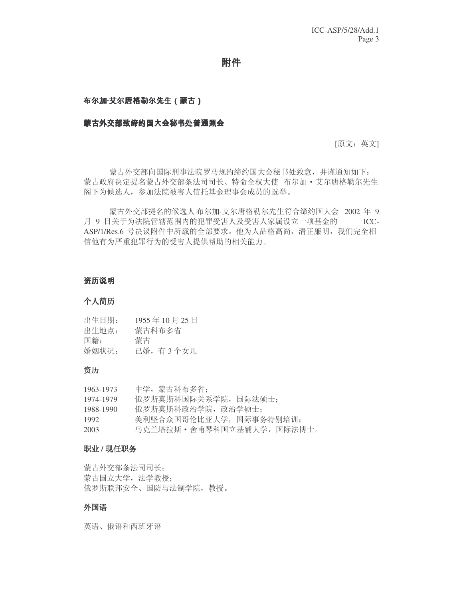附件

#### -   -- - -- -

#### 蒙古外交部致缔约国大会秘书处普通照会

[原文: 英文]

蒙古外交部向国际刑事法院罗马规约缔约国大会秘书处致意,并谨通知如下: 蒙古政府决定提名蒙古外交部条法司司长、特命全权大使 布尔加·艾尔唐格勒尔先生 阁下为候选人,参加法院被害人信托基金理事会成员的选举。

蒙古外交部提名的候选人布尔加·艾尔唐格勒尔先生符合缔约国大会 2002 年 9 月 9 日关于为法院管辖范围内的犯罪受害人及受害人家属设立一项基金的 ICC-ASP/1/Res.6 号决议附件中所载的全部要求。他为人品格高尚,清正廉明,我们完全相 信他有为严重犯罪行为的受害人提供帮助的相关能力。

#### 个人简历

| 出生日期: | 1955年10月25日 |
|-------|-------------|
| 出生地点: | 蒙古科布多省      |
| 国籍:   | 蒙古          |
| 婚姻状况: | 已婚,有 3 个女儿  |

#### 资历

| 1963-1973 | 中学, 蒙古科布多省:                 |
|-----------|-----------------------------|
| 1974-1979 | 俄罗斯莫斯科国际关系学院,国际法硕十:         |
| 1988-1990 | 俄罗斯莫斯科政治学院, 政治学硕十:          |
| 1992      | 美利坚合众国哥伦比亚大学,国际事务特别培训:      |
| 2003      | 乌克兰塔拉斯 • 舍甫琴科国立基辅大学, 国际法博士。 |

#### 职业 / 现任职务

蒙古外交部条法司司长: 蒙古国立大学, 法学教授; 俄罗斯联邦安全、国防与法制学院,教授。

#### 外国语

英语、俄语和西班牙语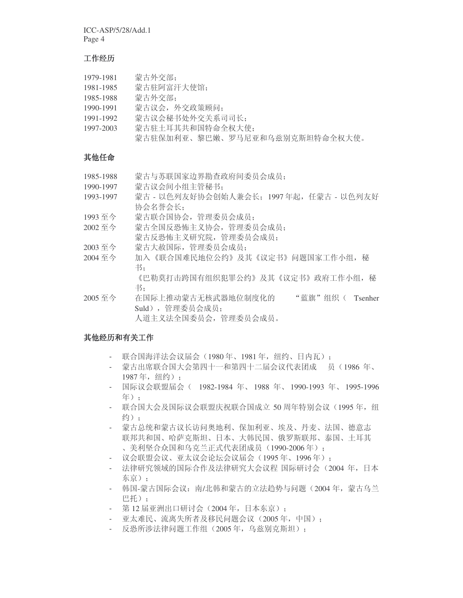ICC-ASP/5/28/Add.1 Page 4

#### 工作经历

| 1979-1981 | 蒙古外交部:                         |
|-----------|--------------------------------|
| 1981-1985 | 蒙古驻阿富汗大使馆:                     |
| 1985-1988 | 蒙古外交部:                         |
| 1990-1991 | 蒙古议会, 外交政策顾问:                  |
| 1991-1992 | 蒙古议会秘书处外交关系司司长:                |
| 1997-2003 | 蒙古驻土耳其共和国特命全权大使:               |
|           | 蒙古驻保加利亚、黎巴嫩、罗马尼亚和乌兹别克斯坦特命全权大使。 |

### 其他任命

| 1985-1988 | 蒙古与苏联国家边界勘查政府间委员会成员:                      |
|-----------|-------------------------------------------|
| 1990-1997 | 蒙古议会间小组主管秘书:                              |
| 1993-1997 | 蒙古 - 以色列友好协会创始人兼会长: 1997年起,任蒙古 - 以色列友好    |
|           | 协会名誉会长:                                   |
| 1993至今    | 蒙古联合国协会, 管理委员会成员:                         |
| 2002至今    | 蒙古全国反恐怖主义协会,管理委员会成员:                      |
|           | 蒙古反恐怖主义研究院, 管理委员会成员:                      |
| 2003至今    | 蒙古大赦国际, 管理委员会成员:                          |
| 2004至今    | 加入《联合国难民地位公约》及其《议定书》问题国家工作小组,秘            |
|           | 书:                                        |
|           | 《巴勒莫打击跨国有组织犯罪公约》及其《议定书》政府工作小组,秘           |
|           | 书:                                        |
| 2005至今    | 在国际上推动蒙古无核武器地位制度化的<br>" 蓝旗"组织(<br>Tsenher |
|           | Suld),管理委员会成员:                            |
|           | 人道主义法全国委员会,管理委员会成员。                       |

### 其他经历和有关工作

- 联合国海洋法会议届会(1980年、1981年, 纽约、日内瓦);
- 蒙古出席联合国大会第四十一和第四十二届会议代表团成 员(1986年、 1987年, 纽约);
- 国际议会联盟届会 ( 1982-1984 年、1988 年、1990-1993 年、1995-1996 年):
- 联合国大会及国际议会联盟庆祝联合国成立 50 周年特别会议 (1995年, 纽 约):
- 蒙古总统和蒙古议长访问奥地利、保加利亚、埃及、丹麦、法国、德意志 联邦共和国、哈萨克斯坦、日本、大韩民国、俄罗斯联邦、泰国、土耳其 、美利坚合众国和乌克兰正式代表团成员 (1990-2006年);
- 议会联盟会议、亚太议会论坛会议届会(1995年、1996年);
- 法律研究领域的国际合作及法律研究大会议程 国际研讨会 (2004 年,日本 东京):
- 韩国-蒙古国际会议: 南/北韩和蒙古的立法趋势与问题(2004年, 蒙古乌兰 巴托):
- 第12 届亚洲出口研讨会 (2004年, 日本东京);
- 亚太难民、流离失所者及移民问题会议 (2005年, 中国);
- 反恐所涉法律问题工作组 (2005年, 乌兹别克斯坦);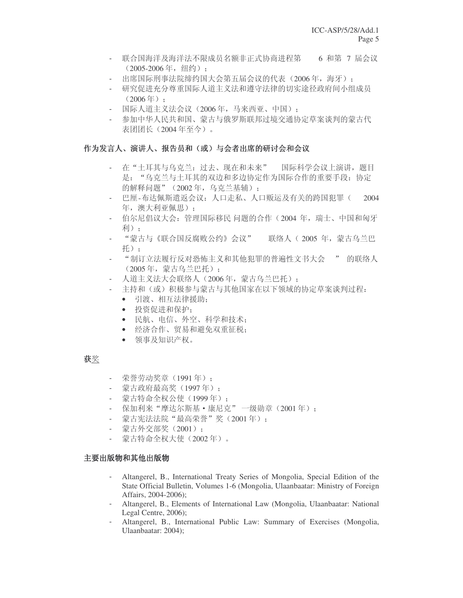- 联合国海洋及海洋法不限成员名额非正式协商进程第 6 和第 7 届会议  $(2005-2006$ 年, 纽约):
- 出席国际刑事法院缔约国大会第五届会议的代表 (2006年, 海牙);
- 研究促进充分尊重国际人道主义法和遵守法律的切实途径政府间小组成员  $(2006 \, \text{#})$  ;
- 国际人道主义法会议 (2006年, 马来西亚、中国):
- 参加中华人民共和国、蒙古与俄罗斯联邦过境交通协定草案谈判的蒙古代 表团团长 (2004年至今)。

#### 作为发言人、演讲人、报告员和(或)与会者出席的研讨会和会议

- 在"土耳其与乌克兰: 过去、现在和未来" 国际科学会议上演讲, 题目 是: "乌克兰与土耳其的双边和多边协定作为国际合作的重要手段: 协定 的解释问题" (2002年, 乌克兰基辅):
- 巴厘-布达佩斯遣返会议: 人口走私、人口贩运及有关的跨国犯罪(2004 年, 澳大利亚佩思):
- 伯尔尼倡议大会: 管理国际移民 问题的合作(2004年,瑞士、中国和匈牙 利):
- "蒙古与《联合国反腐败公约》会议" 联络人 (2005年, 蒙古乌兰巴 托):
- "制订立法履行反对恐怖主义和其他犯罪的普遍性文书大会 " 的联络人 (2005年, 蒙古乌兰巴托);
- 人道主义法大会联络人(2006年, 蒙古乌兰巴托);
- 主持和(或)积极参与蒙古与其他国家在以下领域的协定草案谈判过程:
	- 引渡、相互法律援助:
	- 投资促讲和保护:
	- 民航、电信、外空、科学和技术:
	- 经济合作、贸易和避免双重征税;
	- 领事及知识产权。

#### 获奖

- 荣誉劳动奖章 (1991年);
- 蒙古政府最高奖 (1997年):
- 蒙古特命全权公使(1999年):
- 保加利来"摩达尔斯基·康尼克"一级勋章(2001年):
- 蒙古宪法法院"最高荣誉"奖(2001年);
- 蒙古外交部奖 (2001):
- 蒙古特命全权大使(2002年)。

#### 主要出版物和其他出版物

- Altangerel, B., International Treaty Series of Mongolia, Special Edition of the State Official Bulletin, Volumes 1-6 (Mongolia, Ulaanbaatar: Ministry of Foreign Affairs, 2004-2006);
- Altangerel, B., Elements of International Law (Mongolia, Ulaanbaatar: National Legal Centre, 2006);
- Altangerel, B., International Public Law: Summary of Exercises (Mongolia, Ulaanbaatar: 2004);